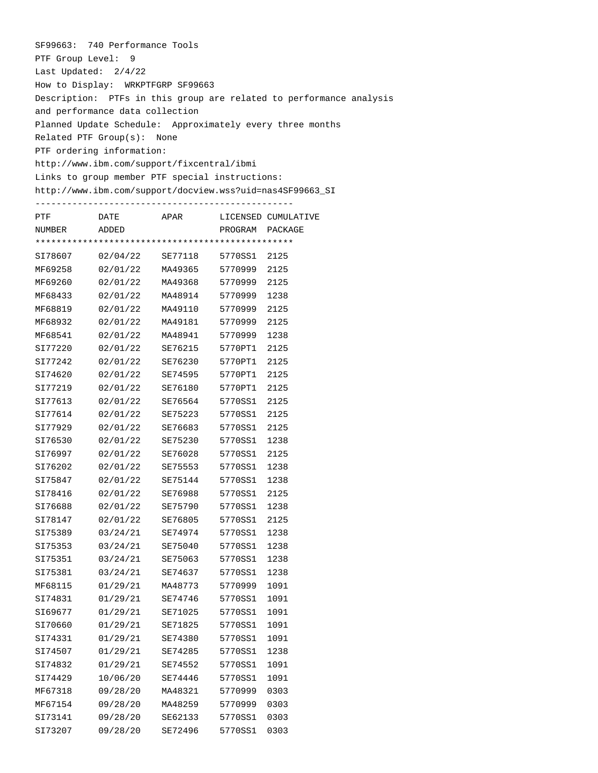SF99663: 740 Performance Tools PTF Group Level: 9 Last Updated: 2/4/22 How to Display: WRKPTFGRP SF99663 Description: PTFs in this group are related to performance analysis and performance data collection Planned Update Schedule: Approximately every three months Related PTF Group(s): None PTF ordering information: http://www.ibm.com/support/fixcentral/ibmi Links to group member PTF special instructions: http://www.ibm.com/support/docview.wss?uid=nas4SF99663\_SI

------------------------------------------------- PTF **DATE** APAR LICENSED CUMULATIVE NUMBER ADDED PROGRAM PACKAGE \*\*\*\*\*\*\*\*\*\*\*\*\*\*\*\*\*\*\*\*\*\*\*\*\*\*\*\*\*\*\*\*\*\*\*\*\*\*\*\*\*\*\*\*\*\*\*\*\* SI78607 02/04/22 SE77118 5770SS1 2125 MF69258 02/01/22 MA49365 5770999 2125 MF69260 02/01/22 MA49368 5770999 2125 MF68433 02/01/22 MA48914 5770999 1238 MF68819 02/01/22 MA49110 5770999 2125 MF68932 02/01/22 MA49181 5770999 2125 MF68541 02/01/22 MA48941 5770999 1238 SI77220 02/01/22 SE76215 5770PT1 2125 SI77242 02/01/22 SE76230 5770PT1 2125 SI74620 02/01/22 SE74595 5770PT1 2125 SI77219 02/01/22 SE76180 5770PT1 2125 SI77613 02/01/22 SE76564 5770SS1 2125 SI77614 02/01/22 SE75223 5770SS1 2125 SI77929 02/01/22 SE76683 5770SS1 2125 SI76530 02/01/22 SE75230 5770SS1 1238 SI76997 02/01/22 SE76028 5770SS1 2125 SI76202 02/01/22 SE75553 5770SS1 1238 SI75847 02/01/22 SE75144 5770SS1 1238 SI78416 02/01/22 SE76988 5770SS1 2125 SI76688 02/01/22 SE75790 5770SS1 1238 SI78147 02/01/22 SE76805 5770SS1 2125 SI75389 03/24/21 SE74974 5770SS1 1238 SI75353 03/24/21 SE75040 5770SS1 1238 SI75351 03/24/21 SE75063 5770SS1 1238 SI75381 03/24/21 SE74637 5770SS1 1238 MF68115 01/29/21 MA48773 5770999 1091 SI74831 01/29/21 SE74746 5770SS1 1091 SI69677 01/29/21 SE71025 5770SS1 1091 SI70660 01/29/21 SE71825 5770SS1 1091 SI74331 01/29/21 SE74380 5770SS1 1091 SI74507 01/29/21 SE74285 5770SS1 1238 SI74832 01/29/21 SE74552 5770SS1 1091 SI74429 10/06/20 SE74446 5770SS1 1091 MF67318 09/28/20 MA48321 5770999 0303 MF67154 09/28/20 MA48259 5770999 0303 SI73141 09/28/20 SE62133 5770SS1 0303 SI73207 09/28/20 SE72496 5770SS1 0303